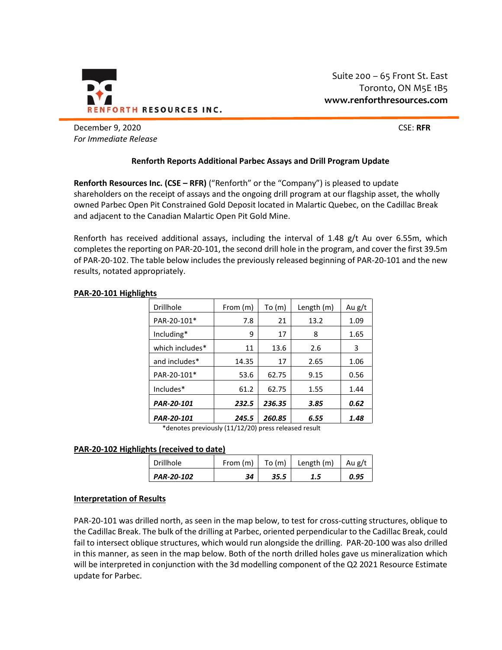

December 9, 2020 CSE: RFR *For Immediate Release*

# **Renforth Reports Additional Parbec Assays and Drill Program Update**

**Renforth Resources Inc. (CSE – RFR)** ("Renforth" or the "Company") is pleased to update shareholders on the receipt of assays and the ongoing drill program at our flagship asset, the wholly owned Parbec Open Pit Constrained Gold Deposit located in Malartic Quebec, on the Cadillac Break and adjacent to the Canadian Malartic Open Pit Gold Mine.

Renforth has received additional assays, including the interval of 1.48 g/t Au over 6.55m, which completes the reporting on PAR-20-101, the second drill hole in the program, and cover the first 39.5m of PAR-20-102. The table below includes the previously released beginning of PAR-20-101 and the new results, notated appropriately.

| Drillhole       | From (m) | To (m) | Length (m) | Au g/t |
|-----------------|----------|--------|------------|--------|
| PAR-20-101*     | 7.8      | 21     | 13.2       | 1.09   |
| Including*      | 9        | 17     | 8          | 1.65   |
| which includes* | 11       | 13.6   | 2.6        | 3      |
| and includes*   | 14.35    | 17     | 2.65       | 1.06   |
| PAR-20-101*     | 53.6     | 62.75  | 9.15       | 0.56   |
| Includes*       | 61.2     | 62.75  | 1.55       | 1.44   |
| PAR-20-101      | 232.5    | 236.35 | 3.85       | 0.62   |
| PAR-20-101      | 245.5    | 260.85 | 6.55       | 1.48   |

### **PAR-20-101 Highlights**

\*denotes previously (11/12/20) press released result

### **PAR-20-102 Highlights (received to date)**

| <b>Drillhole</b> | From (m) | To $(m)$ | Length (m) | Au g/t |
|------------------|----------|----------|------------|--------|
| PAR-20-102       | 34       | 35.5     | 1.5        | 0.95   |

## **Interpretation of Results**

PAR-20-101 was drilled north, as seen in the map below, to test for cross-cutting structures, oblique to the Cadillac Break. The bulk of the drilling at Parbec, oriented perpendicular to the Cadillac Break, could fail to intersect oblique structures, which would run alongside the drilling. PAR-20-100 was also drilled in this manner, as seen in the map below. Both of the north drilled holes gave us mineralization which will be interpreted in conjunction with the 3d modelling component of the Q2 2021 Resource Estimate update for Parbec.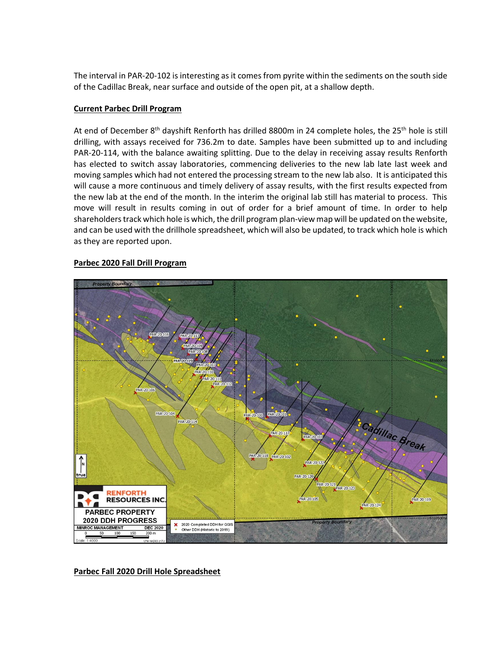The interval in PAR-20-102 is interesting as it comes from pyrite within the sediments on the south side of the Cadillac Break, near surface and outside of the open pit, at a shallow depth.

## **Current Parbec Drill Program**

At end of December 8<sup>th</sup> dayshift Renforth has drilled 8800m in 24 complete holes, the 25<sup>th</sup> hole is still drilling, with assays received for 736.2m to date. Samples have been submitted up to and including PAR-20-114, with the balance awaiting splitting. Due to the delay in receiving assay results Renforth has elected to switch assay laboratories, commencing deliveries to the new lab late last week and moving samples which had not entered the processing stream to the new lab also. It is anticipated this will cause a more continuous and timely delivery of assay results, with the first results expected from the new lab at the end of the month. In the interim the original lab still has material to process. This move will result in results coming in out of order for a brief amount of time. In order to help shareholders track which hole is which, the drill program plan-view map will be updated on the website, and can be used with the drillhole spreadsheet, which will also be updated, to track which hole is which as they are reported upon.

### **Parbec 2020 Fall Drill Program**



**Parbec Fall 2020 Drill Hole Spreadsheet**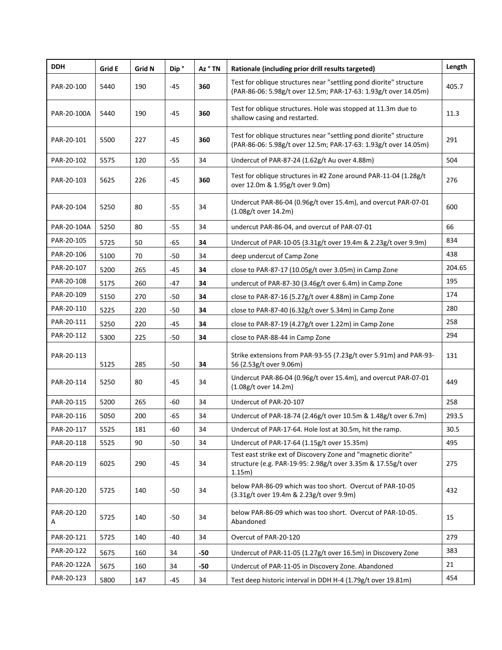| <b>DDH</b>      | Grid E | Grid N | Dip <sup>°</sup> | Az ° TN | Rationale (including prior drill results targeted)                                                                                       | Length |
|-----------------|--------|--------|------------------|---------|------------------------------------------------------------------------------------------------------------------------------------------|--------|
| PAR-20-100      | 5440   | 190    | $-45$            | 360     | Test for oblique structures near "settling pond diorite" structure<br>(PAR-86-06: 5.98g/t over 12.5m; PAR-17-63: 1.93g/t over 14.05m)    | 405.7  |
| PAR-20-100A     | 5440   | 190    | $-45$            | 360     | Test for oblique structures. Hole was stopped at 11.3m due to<br>shallow casing and restarted.                                           | 11.3   |
| PAR-20-101      | 5500   | 227    | -45              | 360     | Test for oblique structures near "settling pond diorite" structure<br>(PAR-86-06: 5.98g/t over 12.5m; PAR-17-63: 1.93g/t over 14.05m)    | 291    |
| PAR-20-102      | 5575   | 120    | $-55$            | 34      | Undercut of PAR-87-24 (1.62g/t Au over 4.88m)                                                                                            | 504    |
| PAR-20-103      | 5625   | 226    | $-45$            | 360     | Test for oblique structures in #2 Zone around PAR-11-04 (1.28g/t<br>over 12.0m & 1.95g/t over 9.0m)                                      | 276    |
| PAR-20-104      | 5250   | 80     | -55              | 34      | Undercut PAR-86-04 (0.96g/t over 15.4m), and overcut PAR-07-01<br>(1.08g/t over 14.2m)                                                   | 600    |
| PAR-20-104A     | 5250   | 80     | $-55$            | 34      | undercut PAR-86-04, and overcut of PAR-07-01                                                                                             | 66     |
| PAR-20-105      | 5725   | 50     | $-65$            | 34      | Undercut of PAR-10-05 (3.31g/t over 19.4m & 2.23g/t over 9.9m)                                                                           | 834    |
| PAR-20-106      | 5100   | 70     | -50              | 34      | deep undercut of Camp Zone                                                                                                               | 438    |
| PAR-20-107      | 5200   | 265    | $-45$            | 34      | close to PAR-87-17 (10.05g/t over 3.05m) in Camp Zone                                                                                    | 204.65 |
| PAR-20-108      | 5175   | 260    | -47              | 34      | undercut of PAR-87-30 (3.46g/t over 6.4m) in Camp Zone                                                                                   | 195    |
| PAR-20-109      | 5150   | 270    | $-50$            | 34      | close to PAR-87-16 (5.27g/t over 4.88m) in Camp Zone                                                                                     | 174    |
| PAR-20-110      | 5225   | 220    | -50              | 34      | close to PAR-87-40 (6.32g/t over 5.34m) in Camp Zone                                                                                     | 280    |
| PAR-20-111      | 5250   | 220    | $-45$            | 34      | close to PAR-87-19 (4.27g/t over 1.22m) in Camp Zone                                                                                     | 258    |
| PAR-20-112      | 5300   | 225    | $-50$            | 34      | close to PAR-88-44 in Camp Zone                                                                                                          | 294    |
| PAR-20-113      | 5125   | 285    | $-50$            | 34      | Strike extensions from PAR-93-55 (7.23g/t over 5.91m) and PAR-93-<br>56 (2.53g/t over 9.06m)                                             | 131    |
| PAR-20-114      | 5250   | 80     | $-45$            | 34      | Undercut PAR-86-04 (0.96g/t over 15.4m), and overcut PAR-07-01<br>(1.08g/t over 14.2m)                                                   | 449    |
| PAR-20-115      | 5200   | 265    | -60              | 34      | Undercut of PAR-20-107                                                                                                                   | 258    |
| PAR-20-116      | 5050   | 200    | -65              | 34      | Undercut of PAR-18-74 (2.46g/t over 10.5m & 1.48g/t over 6.7m)                                                                           | 293.5  |
| PAR-20-117      | 5525   | 181    | -60              | 34      | Undercut of PAR-17-64. Hole lost at 30.5m, hit the ramp.                                                                                 | 30.5   |
| PAR-20-118      | 5525   | 90     | -50              | 34      | Undercut of PAR-17-64 (1.15g/t over 15.35m)                                                                                              | 495    |
| PAR-20-119      | 6025   | 290    | -45              | 34      | Test east strike ext of Discovery Zone and "magnetic diorite"<br>structure (e.g. PAR-19-95: 2.98g/t over 3.35m & 17.55g/t over<br>1.15m) | 275    |
| PAR-20-120      | 5725   | 140    | $-50$            | 34      | below PAR-86-09 which was too short. Overcut of PAR-10-05<br>(3.31g/t over 19.4m & 2.23g/t over 9.9m)                                    | 432    |
| PAR-20-120<br>A | 5725   | 140    | -50              | 34      | below PAR-86-09 which was too short. Overcut of PAR-10-05.<br>Abandoned                                                                  | 15     |
| PAR-20-121      | 5725   | 140    | -40              | 34      | Overcut of PAR-20-120                                                                                                                    | 279    |
| PAR-20-122      | 5675   | 160    | 34               | -50     | Undercut of PAR-11-05 (1.27g/t over 16.5m) in Discovery Zone                                                                             | 383    |
| PAR-20-122A     | 5675   | 160    | 34               | $-50$   | Undercut of PAR-11-05 in Discovery Zone. Abandoned                                                                                       | 21     |
| PAR-20-123      | 5800   | 147    | -45              | 34      | Test deep historic interval in DDH H-4 (1.79g/t over 19.81m)                                                                             | 454    |